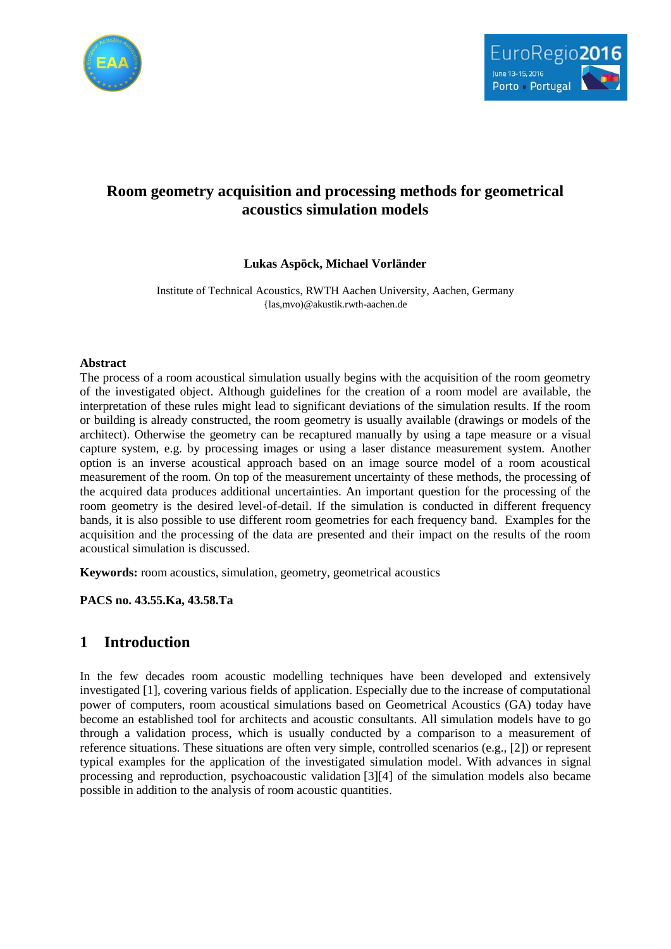



# **Room geometry acquisition and processing methods for geometrical acoustics simulation models**

## **Lukas Aspöck, Michael Vorländer**

Institute of Technical Acoustics, RWTH Aachen University, Aachen, Germany {las,mvo)@akustik.rwth-aachen.de

### **Abstract**

The process of a room acoustical simulation usually begins with the acquisition of the room geometry of the investigated object. Although guidelines for the creation of a room model are available, the interpretation of these rules might lead to significant deviations of the simulation results. If the room or building is already constructed, the room geometry is usually available (drawings or models of the architect). Otherwise the geometry can be recaptured manually by using a tape measure or a visual capture system, e.g. by processing images or using a laser distance measurement system. Another option is an inverse acoustical approach based on an image source model of a room acoustical measurement of the room. On top of the measurement uncertainty of these methods, the processing of the acquired data produces additional uncertainties. An important question for the processing of the room geometry is the desired level-of-detail. If the simulation is conducted in different frequency bands, it is also possible to use different room geometries for each frequency band. Examples for the acquisition and the processing of the data are presented and their impact on the results of the room acoustical simulation is discussed.

**Keywords:** room acoustics, simulation, geometry, geometrical acoustics

**PACS no. 43.55.Ka, 43.58.Ta**

# **1 Introduction**

In the few decades room acoustic modelling techniques have been developed and extensively investigated [\[1\],](#page-8-0) covering various fields of application. Especially due to the increase of computational power of computers, room acoustical simulations based on Geometrical Acoustics (GA) today have become an established tool for architects and acoustic consultants. All simulation models have to go through a validation process, which is usually conducted by a comparison to a measurement of reference situations. These situations are often very simple, controlled scenarios (e.g., [\[2\]\)](#page-8-1) or represent typical examples for the application of the investigated simulation model. With advances in signal processing and reproduction, psychoacoustic validation [\[3\]\[4\]](#page-8-2) of the simulation models also became possible in addition to the analysis of room acoustic quantities.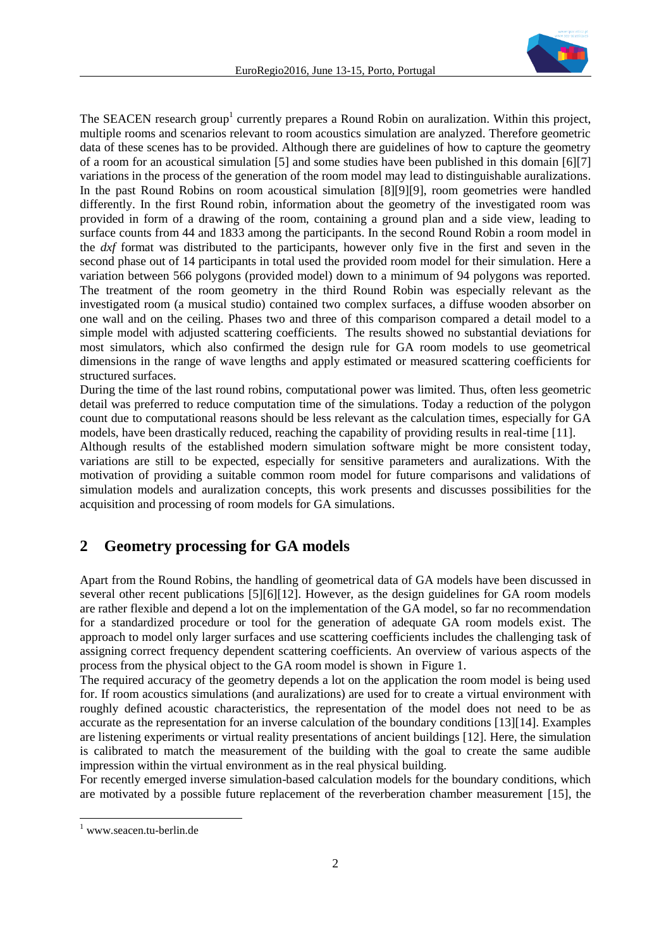

The SEACEN research group<sup>1</sup> currently prepares a Round Robin on auralization. Within this project, multiple rooms and scenarios relevant to room acoustics simulation are analyzed. Therefore geometric data of these scenes has to be provided. Although there are guidelines of how to capture the geometry of a room for an acoustical simulation [\[5\]](#page-8-3) and some studies have been published in this domain [\[6\]\[7\]](#page-8-4) variations in the process of the generation of the room model may lead to distinguishable auralizations. In the past Round Robins on room acoustical simulation [\[8\]\[9\]](#page-9-0)[\[9\],](#page-9-1) room geometries were handled differently. In the first Round robin, information about the geometry of the investigated room was provided in form of a drawing of the room, containing a ground plan and a side view, leading to surface counts from 44 and 1833 among the participants. In the second Round Robin a room model in the *dxf* format was distributed to the participants, however only five in the first and seven in the second phase out of 14 participants in total used the provided room model for their simulation. Here a variation between 566 polygons (provided model) down to a minimum of 94 polygons was reported. The treatment of the room geometry in the third Round Robin was especially relevant as the investigated room (a musical studio) contained two complex surfaces, a diffuse wooden absorber on one wall and on the ceiling. Phases two and three of this comparison compared a detail model to a simple model with adjusted scattering coefficients. The results showed no substantial deviations for most simulators, which also confirmed the design rule for GA room models to use geometrical dimensions in the range of wave lengths and apply estimated or measured scattering coefficients for structured surfaces.

During the time of the last round robins, computational power was limited. Thus, often less geometric detail was preferred to reduce computation time of the simulations. Today a reduction of the polygon count due to computational reasons should be less relevant as the calculation times, especially for GA models, have been drastically reduced, reaching the capability of providing results in real-time [\[11\].](#page-9-2)

Although results of the established modern simulation software might be more consistent today, variations are still to be expected, especially for sensitive parameters and auralizations. With the motivation of providing a suitable common room model for future comparisons and validations of simulation models and auralization concepts, this work presents and discusses possibilities for the acquisition and processing of room models for GA simulations.

# **2 Geometry processing for GA models**

Apart from the Round Robins, the handling of geometrical data of GA models have been discussed in several other recent publications [\[5\]\[6\]](#page-8-3)[\[12\].](#page-9-3) However, as the design guidelines for GA room models are rather flexible and depend a lot on the implementation of the GA model, so far no recommendation for a standardized procedure or tool for the generation of adequate GA room models exist. The approach to model only larger surfaces and use scattering coefficients includes the challenging task of assigning correct frequency dependent scattering coefficients. An overview of various aspects of the process from the physical object to the GA room model is shown in Figure 1.

The required accuracy of the geometry depends a lot on the application the room model is being used for. If room acoustics simulations (and auralizations) are used for to create a virtual environment with roughly defined acoustic characteristics, the representation of the model does not need to be as accurate as the representation for an inverse calculation of the boundary conditions [\[13\]\[14\].](#page-9-4) Examples are listening experiments or virtual reality presentations of ancient buildings [\[12\].](#page-9-3) Here, the simulation is calibrated to match the measurement of the building with the goal to create the same audible impression within the virtual environment as in the real physical building.

For recently emerged inverse simulation-based calculation models for the boundary conditions, which are motivated by a possible future replacement of the reverberation chamber measurement [\[15\],](#page-9-5) the

l

<sup>1</sup> www.seacen.tu-berlin.de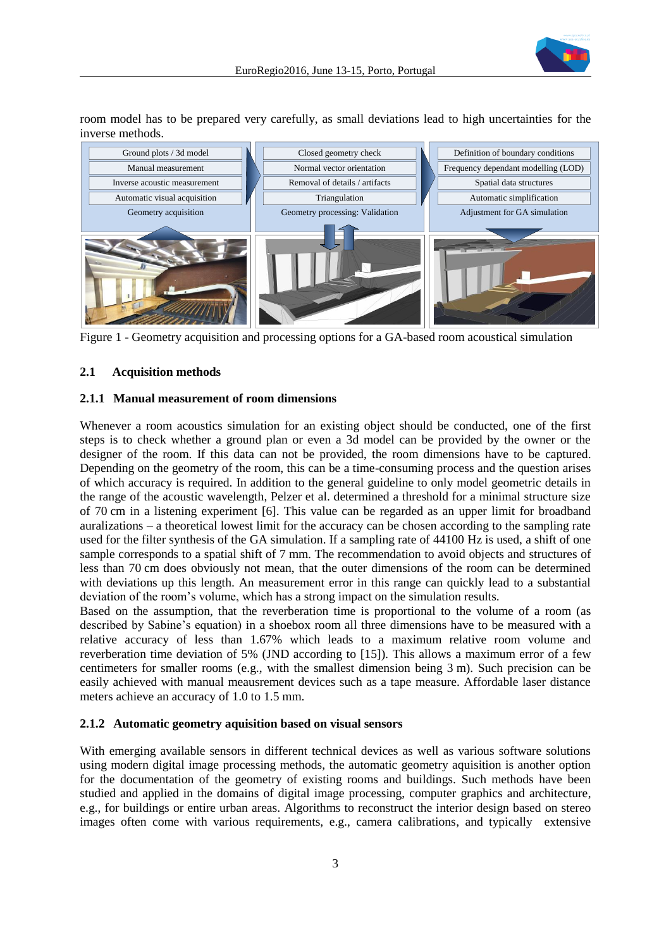

room model has to be prepared very carefully, as small deviations lead to high uncertainties for the inverse methods.



Figure 1 - Geometry acquisition and processing options for a GA-based room acoustical simulation

## **2.1 Acquisition methods**

#### **2.1.1 Manual measurement of room dimensions**

Whenever a room acoustics simulation for an existing object should be conducted, one of the first steps is to check whether a ground plan or even a 3d model can be provided by the owner or the designer of the room. If this data can not be provided, the room dimensions have to be captured. Depending on the geometry of the room, this can be a time-consuming process and the question arises of which accuracy is required. In addition to the general guideline to only model geometric details in the range of the acoustic wavelength, Pelzer et al. determined a threshold for a minimal structure size of 70 cm in a listening experiment [\[6\].](#page-8-4) This value can be regarded as an upper limit for broadband auralizations – a theoretical lowest limit for the accuracy can be chosen according to the sampling rate used for the filter synthesis of the GA simulation. If a sampling rate of 44100 Hz is used, a shift of one sample corresponds to a spatial shift of 7 mm. The recommendation to avoid objects and structures of less than 70 cm does obviously not mean, that the outer dimensions of the room can be determined with deviations up this length. An measurement error in this range can quickly lead to a substantial deviation of the room's volume, which has a strong impact on the simulation results.

Based on the assumption, that the reverberation time is proportional to the volume of a room (as described by Sabine's equation) in a shoebox room all three dimensions have to be measured with a relative accuracy of less than 1.67% which leads to a maximum relative room volume and reverberation time deviation of 5% (JND according to [\[15\]\)](#page-9-5). This allows a maximum error of a few centimeters for smaller rooms (e.g., with the smallest dimension being 3 m). Such precision can be easily achieved with manual meausrement devices such as a tape measure. Affordable laser distance meters achieve an accuracy of 1.0 to 1.5 mm.

#### **2.1.2 Automatic geometry aquisition based on visual sensors**

With emerging available sensors in different technical devices as well as various software solutions using modern digital image processing methods, the automatic geometry aquisition is another option for the documentation of the geometry of existing rooms and buildings. Such methods have been studied and applied in the domains of digital image processing, computer graphics and architecture, e.g., for buildings or entire urban areas. Algorithms to reconstruct the interior design based on stereo images often come with various requirements, e.g., camera calibrations, and typically extensive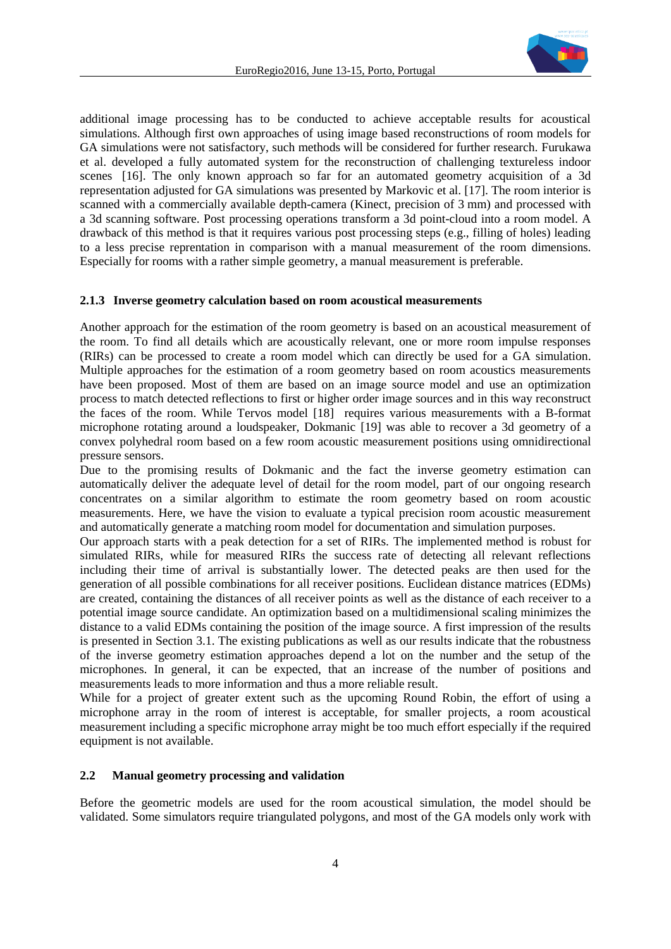

additional image processing has to be conducted to achieve acceptable results for acoustical simulations. Although first own approaches of using image based reconstructions of room models for GA simulations were not satisfactory, such methods will be considered for further research. Furukawa et al. developed a fully automated system for the reconstruction of challenging textureless indoor scenes [\[16\].](#page-9-6) The only known approach so far for an automated geometry acquisition of a 3d representation adjusted for GA simulations was presented by Markovic et al. [\[17\].](#page-9-7) The room interior is scanned with a commercially available depth-camera (Kinect, precision of 3 mm) and processed with a 3d scanning software. Post processing operations transform a 3d point-cloud into a room model. A drawback of this method is that it requires various post processing steps (e.g., filling of holes) leading to a less precise reprentation in comparison with a manual measurement of the room dimensions. Especially for rooms with a rather simple geometry, a manual measurement is preferable.

#### <span id="page-3-0"></span>**2.1.3 Inverse geometry calculation based on room acoustical measurements**

Another approach for the estimation of the room geometry is based on an acoustical measurement of the room. To find all details which are acoustically relevant, one or more room impulse responses (RIRs) can be processed to create a room model which can directly be used for a GA simulation. Multiple approaches for the estimation of a room geometry based on room acoustics measurements have been proposed. Most of them are based on an image source model and use an optimization process to match detected reflections to first or higher order image sources and in this way reconstruct the faces of the room. While Tervos model [\[18\]](#page-9-8) requires various measurements with a B-format microphone rotating around a loudspeaker, Dokmanic [\[19\]](#page-9-9) was able to recover a 3d geometry of a convex polyhedral room based on a few room acoustic measurement positions using omnidirectional pressure sensors.

Due to the promising results of Dokmanic and the fact the inverse geometry estimation can automatically deliver the adequate level of detail for the room model, part of our ongoing research concentrates on a similar algorithm to estimate the room geometry based on room acoustic measurements. Here, we have the vision to evaluate a typical precision room acoustic measurement and automatically generate a matching room model for documentation and simulation purposes.

Our approach starts with a peak detection for a set of RIRs. The implemented method is robust for simulated RIRs, while for measured RIRs the success rate of detecting all relevant reflections including their time of arrival is substantially lower. The detected peaks are then used for the generation of all possible combinations for all receiver positions. Euclidean distance matrices (EDMs) are created, containing the distances of all receiver points as well as the distance of each receiver to a potential image source candidate. An optimization based on a multidimensional scaling minimizes the distance to a valid EDMs containing the position of the image source. A first impression of the results is presented in Section [3.1.](#page-5-0) The existing publications as well as our results indicate that the robustness of the inverse geometry estimation approaches depend a lot on the number and the setup of the microphones. In general, it can be expected, that an increase of the number of positions and measurements leads to more information and thus a more reliable result.

While for a project of greater extent such as the upcoming Round Robin, the effort of using a microphone array in the room of interest is acceptable, for smaller projects, a room acoustical measurement including a specific microphone array might be too much effort especially if the required equipment is not available.

## **2.2 Manual geometry processing and validation**

Before the geometric models are used for the room acoustical simulation, the model should be validated. Some simulators require triangulated polygons, and most of the GA models only work with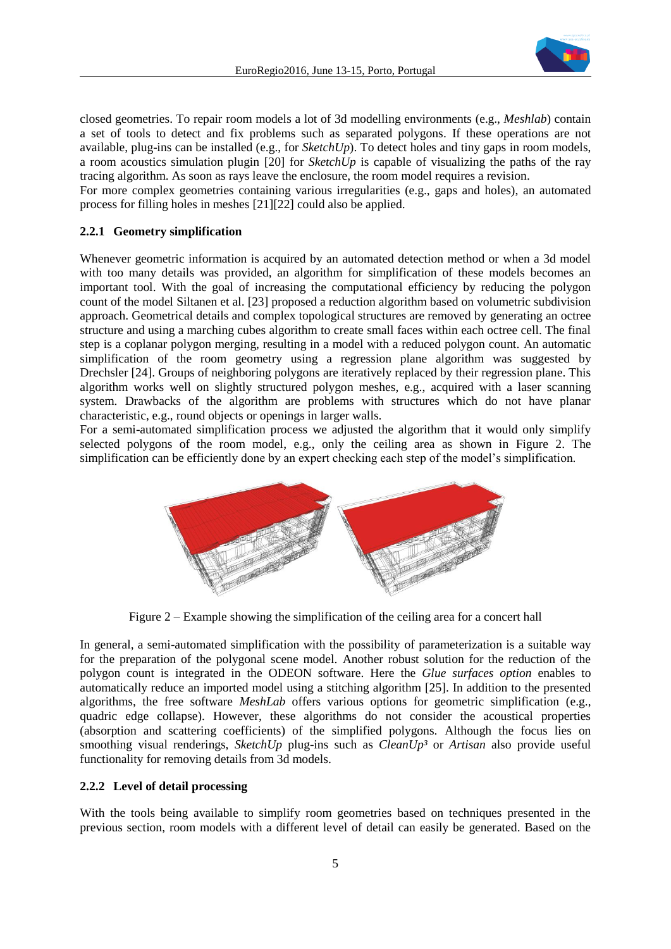

closed geometries. To repair room models a lot of 3d modelling environments (e.g., *Meshlab*) contain a set of tools to detect and fix problems such as separated polygons. If these operations are not available, plug-ins can be installed (e.g., for *SketchUp*). To detect holes and tiny gaps in room models, a room acoustics simulation plugin [\[20\]](#page-9-10) for *SketchUp* is capable of visualizing the paths of the ray tracing algorithm. As soon as rays leave the enclosure, the room model requires a revision.

For more complex geometries containing various irregularities (e.g., gaps and holes), an automated process for filling holes in meshes [\[21\]\[22\]](#page-9-11) could also be applied.

## **2.2.1 Geometry simplification**

Whenever geometric information is acquired by an automated detection method or when a 3d model with too many details was provided, an algorithm for simplification of these models becomes an important tool. With the goal of increasing the computational efficiency by reducing the polygon count of the model Siltanen et al. [\[23\]](#page-9-12) proposed a reduction algorithm based on volumetric subdivision approach. Geometrical details and complex topological structures are removed by generating an octree structure and using a marching cubes algorithm to create small faces within each octree cell. The final step is a coplanar polygon merging, resulting in a model with a reduced polygon count. An automatic simplification of the room geometry using a regression plane algorithm was suggested by Drechsler [\[24\].](#page-9-13) Groups of neighboring polygons are iteratively replaced by their regression plane. This algorithm works well on slightly structured polygon meshes, e.g., acquired with a laser scanning system. Drawbacks of the algorithm are problems with structures which do not have planar characteristic, e.g., round objects or openings in larger walls.

For a semi-automated simplification process we adjusted the algorithm that it would only simplify selected polygons of the room model, e.g., only the ceiling area as shown in [Figure 2.](#page-4-0) The simplification can be efficiently done by an expert checking each step of the model's simplification.



Figure 2 – Example showing the simplification of the ceiling area for a concert hall

<span id="page-4-0"></span>In general, a semi-automated simplification with the possibility of parameterization is a suitable way for the preparation of the polygonal scene model. Another robust solution for the reduction of the polygon count is integrated in the ODEON software. Here the *Glue surfaces option* enables to automatically reduce an imported model using a stitching algorithm [\[25\].](#page-9-14) In addition to the presented algorithms, the free software *MeshLab* offers various options for geometric simplification (e.g., quadric edge collapse). However, these algorithms do not consider the acoustical properties (absorption and scattering coefficients) of the simplified polygons. Although the focus lies on smoothing visual renderings, *SketchUp* plug-ins such as *CleanUp³* or *Artisan* also provide useful functionality for removing details from 3d models.

#### **2.2.2 Level of detail processing**

With the tools being available to simplify room geometries based on techniques presented in the previous section, room models with a different level of detail can easily be generated. Based on the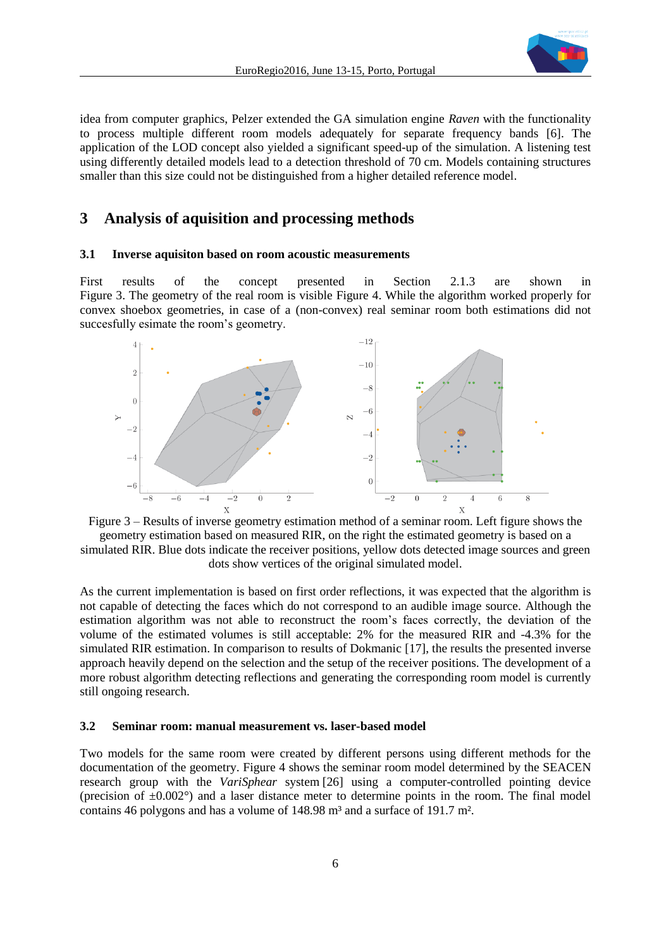<span id="page-5-1"></span>

idea from computer graphics, Pelzer extended the GA simulation engine *Raven* with the functionality to process multiple different room models adequately for separate frequency bands [\[6\].](#page-8-4) The application of the LOD concept also yielded a significant speed-up of the simulation. A listening test using differently detailed models lead to a detection threshold of 70 cm. Models containing structures smaller than this size could not be distinguished from a higher detailed reference model.

## **3 Analysis of aquisition and processing methods**

#### <span id="page-5-0"></span>**3.1 Inverse aquisiton based on room acoustic measurements**

First results of the concept presented in Section [2.1.3](#page-3-0) are shown in [Figure 3.](#page-5-1) The geometry of the real room is visible [Figure 4.](#page-6-0) While the algorithm worked properly for convex shoebox geometries, in case of a (non-convex) real seminar room both estimations did not succesfully esimate the room's geometry.



Figure 3 – Results of inverse geometry estimation method of a seminar room. Left figure shows the geometry estimation based on measured RIR, on the right the estimated geometry is based on a simulated RIR. Blue dots indicate the receiver positions, yellow dots detected image sources and green dots show vertices of the original simulated model.

As the current implementation is based on first order reflections, it was expected that the algorithm is not capable of detecting the faces which do not correspond to an audible image source. Although the estimation algorithm was not able to reconstruct the room's faces correctly, the deviation of the volume of the estimated volumes is still acceptable: 2% for the measured RIR and -4.3% for the simulated RIR estimation. In comparison to results of Dokmanic [\[17\],](#page-9-15) the results the presented inverse approach heavily depend on the selection and the setup of the receiver positions. The development of a more robust algorithm detecting reflections and generating the corresponding room model is currently still ongoing research.

#### <span id="page-5-2"></span>**3.2 Seminar room: manual measurement vs. laser-based model**

Two models for the same room were created by different persons using different methods for the documentation of the geometry. [Figure 4](#page-6-0) shows the seminar room model determined by the SEACEN research group with the *VariSphear* system [\[26\]](#page-9-16) using a computer-controlled pointing device (precision of  $\pm 0.002^{\circ}$ ) and a laser distance meter to determine points in the room. The final model contains 46 polygons and has a volume of 148.98 m<sup>3</sup> and a surface of 191.7 m<sup>2</sup>.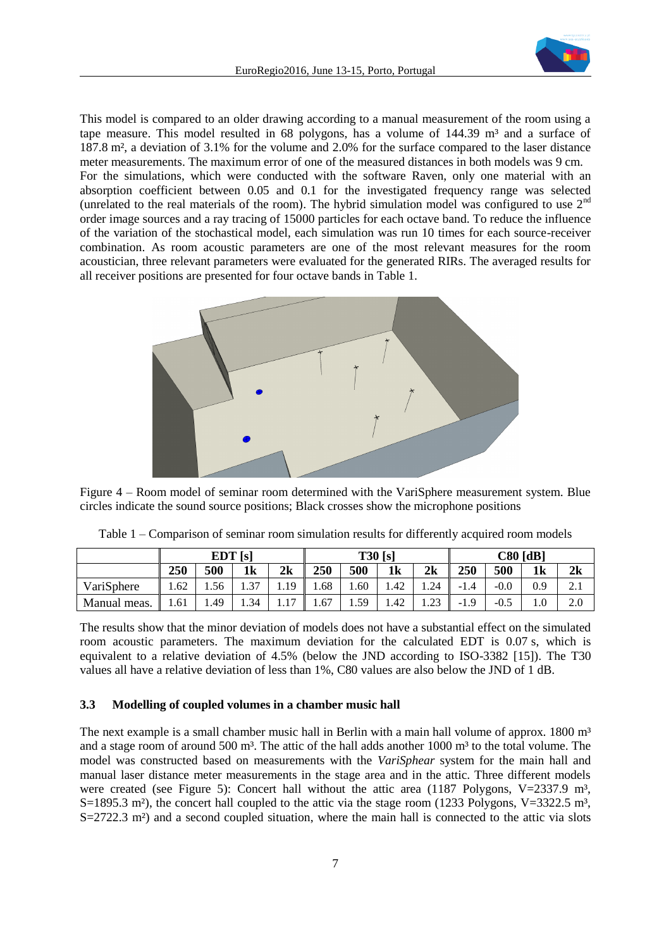

This model is compared to an older drawing according to a manual measurement of the room using a tape measure. This model resulted in 68 polygons, has a volume of  $144.39 \text{ m}^3$  and a surface of 187.8 m², a deviation of 3.1% for the volume and 2.0% for the surface compared to the laser distance meter measurements. The maximum error of one of the measured distances in both models was 9 cm. For the simulations, which were conducted with the software Raven, only one material with an absorption coefficient between 0.05 and 0.1 for the investigated frequency range was selected (unrelated to the real materials of the room). The hybrid simulation model was configured to use  $2<sup>nd</sup>$ order image sources and a ray tracing of 15000 particles for each octave band. To reduce the influence of the variation of the stochastical model, each simulation was run 10 times for each source-receiver combination. As room acoustic parameters are one of the most relevant measures for the room acoustician, three relevant parameters were evaluated for the generated RIRs. The averaged results for all receiver positions are presented for four octave bands in Table 1.



<span id="page-6-0"></span>Figure 4 – Room model of seminar room determined with the VariSphere measurement system. Blue circles indicate the sound source positions; Black crosses show the microphone positions

|              | EDT[s] |             |                |            | T30[s] |      |                |      | $C80$ [dB] |        |                |     |
|--------------|--------|-------------|----------------|------------|--------|------|----------------|------|------------|--------|----------------|-----|
|              | 250    | 500         | 1 <sub>k</sub> | 2k         | 250    | 500  | 1 <sub>k</sub> | 2k   | 250        | 500    | 1 <sub>k</sub> | 2k  |
| VariSphere   | 1.62   | 1.56        | 37             | 1.19       | 1.68   | 0.60 | 1.42           | 1.24 | $-1.4$     | $-0.0$ | 0.9            | 4.1 |
| Manual meas. | 1.61   | <b>4.49</b> | 1.34           | 17<br>1.11 | 1.67   | 1.59 | 1.42           | 1.23 | $-1.9$     | $-0.5$ |                | 2.0 |

Table 1 – Comparison of seminar room simulation results for differently acquired room models

The results show that the minor deviation of models does not have a substantial effect on the simulated room acoustic parameters. The maximum deviation for the calculated EDT is 0.07 s, which is equivalent to a relative deviation of 4.5% (below the JND according to ISO-3382 [\[15\]\)](#page-9-5). The T30 values all have a relative deviation of less than 1%, C80 values are also below the JND of 1 dB.

#### **3.3 Modelling of coupled volumes in a chamber music hall**

The next example is a small chamber music hall in Berlin with a main hall volume of approx.  $1800 \text{ m}^3$ and a stage room of around 500 m<sup>3</sup>. The attic of the hall adds another 1000 m<sup>3</sup> to the total volume. The model was constructed based on measurements with the *VariSphear* system for the main hall and manual laser distance meter measurements in the stage area and in the attic. Three different models were created (see [Figure 5\)](#page-7-0): Concert hall without the attic area (1187 Polygons,  $V=2337.9 \text{ m}^3$ , S=1895.3 m<sup>2</sup>), the concert hall coupled to the attic via the stage room (1233 Polygons, V=3322.5 m<sup>3</sup>,  $S=2722.3$  m<sup>2</sup>) and a second coupled situation, where the main hall is connected to the attic via slots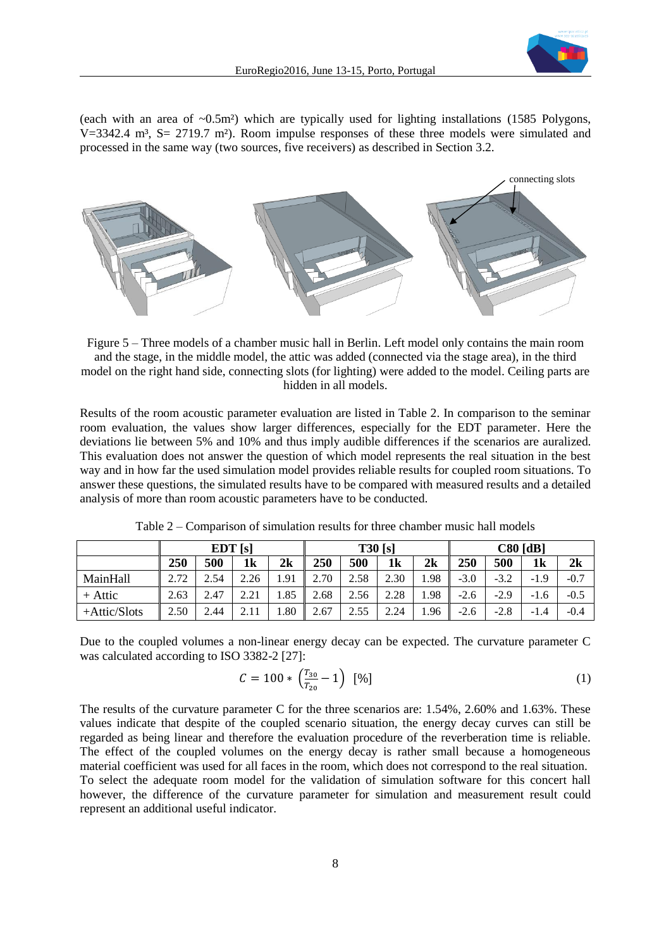

(each with an area of  $\sim 0.5$ m<sup>2</sup>) which are typically used for lighting installations (1585 Polygons,  $V=3342.4$  m<sup>3</sup>, S= 2719.7 m<sup>2</sup>). Room impulse responses of these three models were simulated and processed in the same way (two sources, five receivers) as described in Section [3.2.](#page-5-2)



<span id="page-7-0"></span>Figure 5 – Three models of a chamber music hall in Berlin. Left model only contains the main room and the stage, in the middle model, the attic was added (connected via the stage area), in the third model on the right hand side, connecting slots (for lighting) were added to the model. Ceiling parts are hidden in all models.

Results of the room acoustic parameter evaluation are listed in Table 2. In comparison to the seminar room evaluation, the values show larger differences, especially for the EDT parameter. Here the deviations lie between 5% and 10% and thus imply audible differences if the scenarios are auralized. This evaluation does not answer the question of which model represents the real situation in the best way and in how far the used simulation model provides reliable results for coupled room situations. To answer these questions, the simulated results have to be compared with measured results and a detailed analysis of more than room acoustic parameters have to be conducted.

|              | EDT[s] |      |                |      | T30[s] |      |                |      | $C80$ [dB] |        |                |        |
|--------------|--------|------|----------------|------|--------|------|----------------|------|------------|--------|----------------|--------|
|              | 250    | 500  | 1 <sub>k</sub> | 2k   | 250    | 500  | 1 <sub>k</sub> | 2k   | 250        | 500    | 1 <sub>k</sub> | 2k     |
| MainHall     | 272    | 2.54 | 2.26           | 1.91 | 2.70   | 2.58 | 2.30           | 1.98 | $-3.0$     | $-3.2$ | $-1.9$         | $-0.7$ |
| $+$ Attic    | 2.63   | 2.47 | 2.21           | .85  | 2.68   | 2.56 | 2.28           | 1.98 | $-2.6$     | $-2.9$ | $-1.6$         | $-0.5$ |
| +Attic/Slots | 2.50   | 2.44 | 211            | .80  | 2.67   | 2.55 | 2.24           | 1.96 | $-2.6$     | $-2.8$ | $-1.4$         | $-0.4$ |

Table 2 – Comparison of simulation results for three chamber music hall models

Due to the coupled volumes a non-linear energy decay can be expected. The curvature parameter C was calculated according to ISO 3382-2 [\[27\]:](#page-9-17)

$$
C = 100 * \left(\frac{T_{30}}{T_{20}} - 1\right) [96]
$$
 (1)

The results of the curvature parameter C for the three scenarios are: 1.54%, 2.60% and 1.63%. These values indicate that despite of the coupled scenario situation, the energy decay curves can still be regarded as being linear and therefore the evaluation procedure of the reverberation time is reliable. The effect of the coupled volumes on the energy decay is rather small because a homogeneous material coefficient was used for all faces in the room, which does not correspond to the real situation. To select the adequate room model for the validation of simulation software for this concert hall however, the difference of the curvature parameter for simulation and measurement result could represent an additional useful indicator.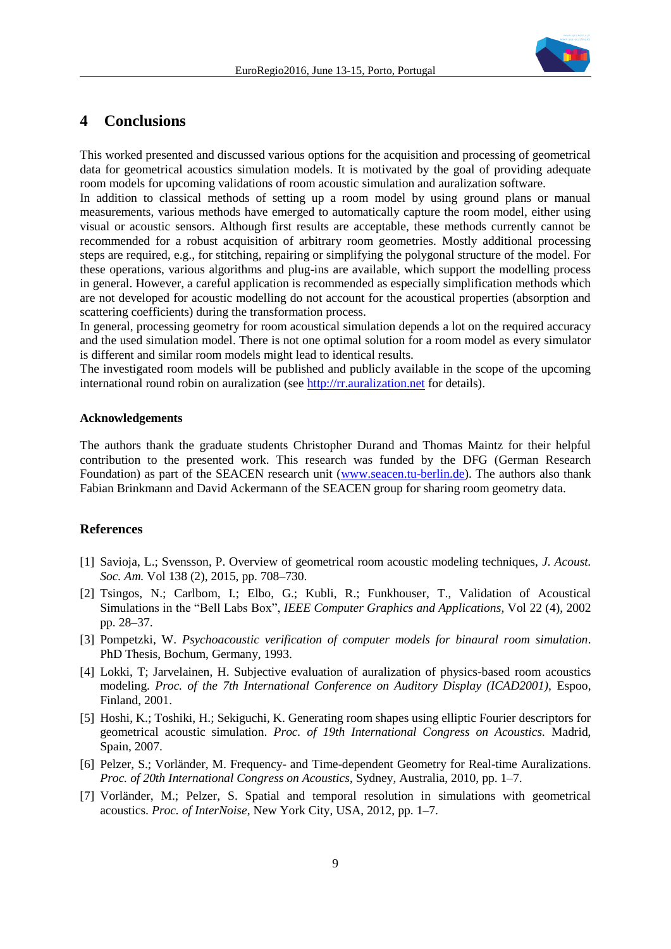

# **4 Conclusions**

This worked presented and discussed various options for the acquisition and processing of geometrical data for geometrical acoustics simulation models. It is motivated by the goal of providing adequate room models for upcoming validations of room acoustic simulation and auralization software.

In addition to classical methods of setting up a room model by using ground plans or manual measurements, various methods have emerged to automatically capture the room model, either using visual or acoustic sensors. Although first results are acceptable, these methods currently cannot be recommended for a robust acquisition of arbitrary room geometries. Mostly additional processing steps are required, e.g., for stitching, repairing or simplifying the polygonal structure of the model. For these operations, various algorithms and plug-ins are available, which support the modelling process in general. However, a careful application is recommended as especially simplification methods which are not developed for acoustic modelling do not account for the acoustical properties (absorption and scattering coefficients) during the transformation process.

In general, processing geometry for room acoustical simulation depends a lot on the required accuracy and the used simulation model. There is not one optimal solution for a room model as every simulator is different and similar room models might lead to identical results.

The investigated room models will be published and publicly available in the scope of the upcoming international round robin on auralization (see [http://rr.auralization.net](http://rr.auralization.net/) for details).

#### **Acknowledgements**

The authors thank the graduate students Christopher Durand and Thomas Maintz for their helpful contribution to the presented work. This research was funded by the DFG (German Research Foundation) as part of the SEACEN research unit [\(www.seacen.tu-berlin.de\)](http://www.seacen.tu-berlin.de/). The authors also thank Fabian Brinkmann and David Ackermann of the SEACEN group for sharing room geometry data.

## **References**

- <span id="page-8-0"></span>[1] Savioja, L.; Svensson, P. Overview of geometrical room acoustic modeling techniques, *J. Acoust. Soc. Am.* Vol 138 (2), 2015, pp. 708–730.
- <span id="page-8-1"></span>[2] Tsingos, N.; Carlbom, I.; Elbo, G.; Kubli, R.; Funkhouser, T., Validation of Acoustical Simulations in the "Bell Labs Box", *IEEE Computer Graphics and Applications,* Vol 22 (4), 2002 pp. 28–37.
- <span id="page-8-2"></span>[3] Pompetzki, W. *Psychoacoustic verification of computer models for binaural room simulation*. PhD Thesis, Bochum, Germany, 1993.
- [4] Lokki, T; Jarvelainen, H. Subjective evaluation of auralization of physics-based room acoustics modeling. *Proc. of the 7th International Conference on Auditory Display (ICAD2001),* Espoo, Finland, 2001.
- <span id="page-8-3"></span>[5] Hoshi, K.; Toshiki, H.; Sekiguchi, K. Generating room shapes using elliptic Fourier descriptors for geometrical acoustic simulation. *Proc. of 19th International Congress on Acoustics.* Madrid, Spain, 2007.
- <span id="page-8-4"></span>[6] Pelzer, S.; Vorländer, M. Frequency- and Time-dependent Geometry for Real-time Auralizations. *Proc. of 20th International Congress on Acoustics*, Sydney, Australia, 2010, pp. 1–7.
- [7] Vorländer, M.; Pelzer, S. Spatial and temporal resolution in simulations with geometrical acoustics. *Proc. of InterNoise,* New York City, USA, 2012, pp. 1–7.